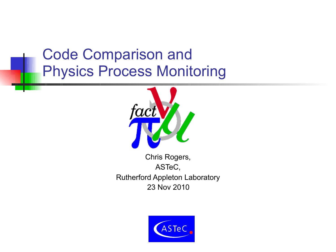## Code Comparison and Physics Process Monitoring



Chris Rogers, ASTeC, Rutherford Appleton Laboratory 23 Nov 2010

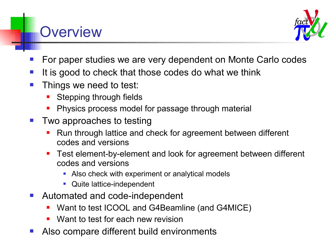#### **Overview**



- For paper studies we are very dependent on Monte Carlo codes
- It is good to check that those codes do what we think
- Things we need to test:
	- Stepping through fields
	- Physics process model for passage through material
- $\blacksquare$  Two approaches to testing
	- Run through lattice and check for agreement between different codes and versions
	- Test element-by-element and look for agreement between different codes and versions
		- Also check with experiment or analytical models
		- **Quite lattice-independent**
- Automated and code-independent
	- Want to test ICOOL and G4Beamline (and G4MICE)
	- Want to test for each new revision
- Also compare different build environments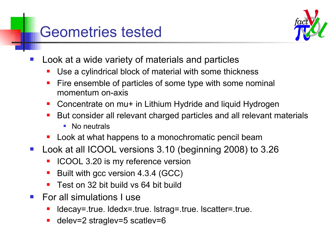#### Geometries tested



- Look at a wide variety of materials and particles
	- Use a cylindrical block of material with some thickness
	- Fire ensemble of particles of some type with some nominal momentum on-axis
	- Concentrate on mu+ in Lithium Hydride and liquid Hydrogen
	- But consider all relevant charged particles and all relevant materials
		- **No neutrals**
	- **Look at what happens to a monochromatic pencil beam**
- Look at all ICOOL versions 3.10 (beginning 2008) to 3.26
	- ICOOL 3.20 is my reference version
	- Built with gcc version 4.3.4 (GCC)
	- Test on 32 bit build vs 64 bit build
- For all simulations I use
	- ldecay=.true. ldedx=.true. lstrag=.true. lscatter=.true.
	- delev=2 straglev=5 scatlev=6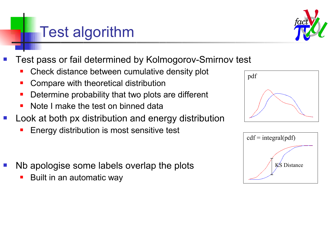# Test algorithm



- Test pass or fail determined by Kolmogorov-Smirnov test
	- Check distance between cumulative density plot
	- Compare with theoretical distribution
	- **Determine probability that two plots are different**
	- Note I make the test on binned data
- Look at both px distribution and energy distribution
	- Energy distribution is most sensitive test
- Nb apologise some labels overlap the plots
	- Built in an automatic way



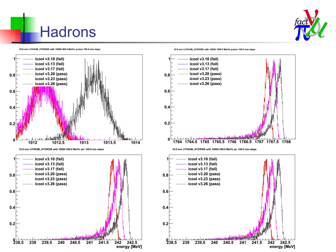







10.0 mm LITHIUM\_HYDRIDE with 10000 1500.0 MeV/c proton 100.0 mm steps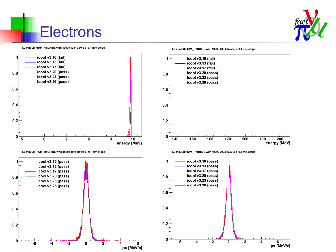

## **Electrons**

1.0 mm LITHIUM HYDRIDE with 10000 10.0 MeV/c e- 0.1 mm steps



1.0 mm LITHIUM\_HYDRIDE with 10000 10.0 MeV/c e- 0.1 mm steps



1.0 mm LITHIUM HYDRIDE with 10000 200.0 MeV/c e- 0.1 mm steps



1.0 mm LITHIUM\_HYDRIDE with 10000 200.0 MeV/c e- 0.1 mm steps

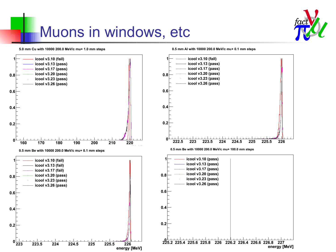## Muons in windows, etc



5.0 mm Cu with 10000 200.0 MeV/c mu+ 1.0 mm steps



0.5 mm AI with 10000 200.0 MeV/c mu+ 0.1 mm steps



energy [MeV]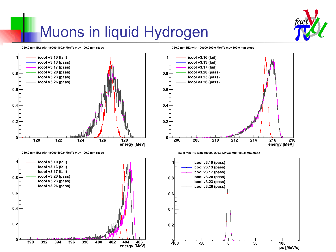# Muons in liquid Hydrogen



350.0 mm IH2 with 10000 100.0 MeV/c mu+ 100.0 mm steps



350.0 mm IH2 with 10000 400.0 MeV/c mu+ 100.0 mm steps



350.0 mm IH2 with 100000 200.0 MeV/c mu+ 100.0 mm steps



350.0 mm IH2 with 100000 200.0 MeV/c mu+ 100.0 mm steps

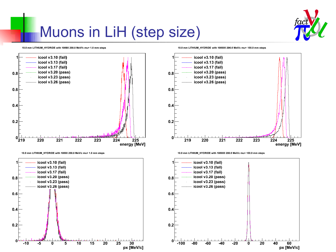## Muons in LiH (step size)



10.0 mm LITHIUM HYDRIDE with 10000 200.0 MeV/c mu+ 1.0 mm steps



10.0 mm LITHIUM\_HYDRIDE with 10000 200.0 MeV/c mu+ 1.0 mm steps



10.0 mm LITHIUM HYDRIDE with 100000 200.0 MeV/c mu+ 100.0 mm steps



10.0 mm LITHIUM\_HYDRIDE with 100000 200.0 MeV/c mu+ 100.0 mm steps

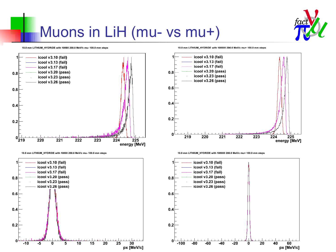

## Muons in LiH (mu- vs mu+)

10.0 mm LITHIUM HYDRIDE with 10000 200.0 MeV/c mu- 100.0 mm steps



10.0 mm LITHIUM\_HYDRIDE with 10000 200.0 MeV/c mu- 100.0 mm steps



10.0 mm LITHIUM\_HYDRIDE with 100000 200.0 MeV/c mu+ 100.0 mm steps



10.0 mm LITHIUM\_HYDRIDE with 100000 200.0 MeV/c mu+ 100.0 mm steps

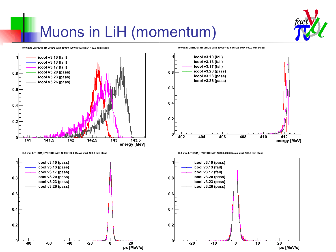

# Muons in LiH (momentum)

10.0 mm LITHIUM HYDRIDE with 10000 100.0 MeV/c mu+ 100.0 mm steps



10.0 mm LITHIUM\_HYDRIDE with 10000 100.0 MeV/c mu+ 100.0 mm steps



10.0 mm LITHIUM\_HYDRIDE with 10000 400.0 MeV/c mu+ 100.0 mm steps



10.0 mm LITHIUM\_HYDRIDE with 10000 400.0 MeV/c mu+ 100.0 mm steps

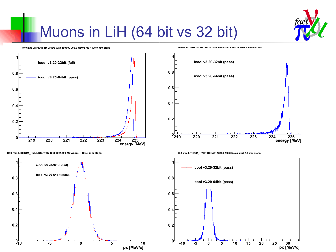

# Muons in LiH (64 bit vs 32 bit)

10.0 mm LITHIUM HYDRIDE with 100000 200.0 MeV/c mu+ 100.0 mm steps



10.0 mm LITHIUM\_HYDRIDE with 100000 200.0 MeV/c mu+ 100.0 mm steps



10.0 mm LITHIUM\_HYDRIDE with 10000 200.0 MeV/c mu+ 1.0 mm steps



10.0 mm LITHIUM\_HYDRIDE with 10000 200.0 MeV/c mu+ 1.0 mm steps

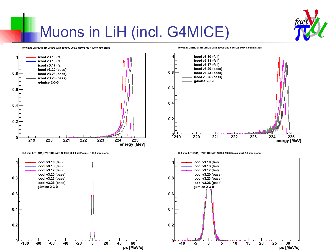

# Muons in LiH (incl. G4MICE)

#### 10.0 mm LITHIUM HYDRIDE with 100000 200.0 MeV/c mu+ 100.0 mm steps



10.0 mm LITHIUM\_HYDRIDE with 100000 200.0 MeV/c mu+ 100.0 mm steps



10.0 mm LITHIUM\_HYDRIDE with 10000 200.0 MeV/c mu+ 1.0 mm steps



10.0 mm LITHIUM\_HYDRIDE with 10000 200.0 MeV/c mu+ 1.0 mm steps